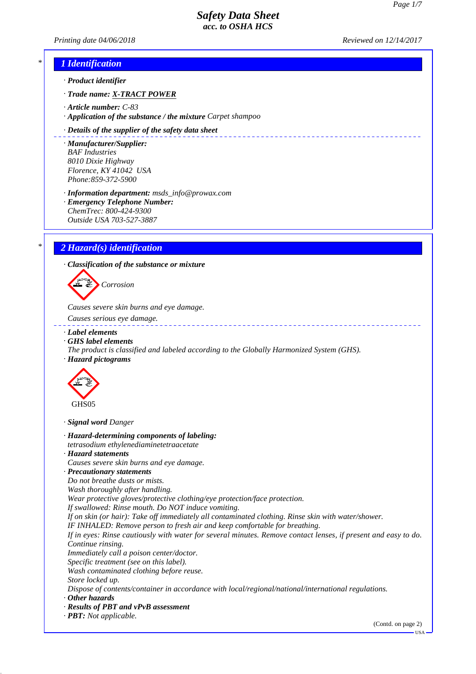\_\_\_\_\_\_\_\_\_\_\_\_\_\_\_\_\_\_\_\_\_\_\_\_\_\_

*Printing date 04/06/2018 Reviewed on 12/14/2017*

# *\* 1 Identification*

*· Product identifier*

*· Trade name: X-TRACT POWER*

- *· Article number: C-83*
- *· Application of the substance / the mixture Carpet shampoo*

#### *· Details of the supplier of the safety data sheet*

*· Manufacturer/Supplier: BAF Industries 8010 Dixie Highway Florence, KY 41042 USA Phone:859-372-5900*

*· Information department: msds\_info@prowax.com*

*· Emergency Telephone Number: ChemTrec: 800-424-9300 Outside USA 703-527-3887*

# *\* 2 Hazard(s) identification*

*· Classification of the substance or mixture*

*Corrosion*

*Causes severe skin burns and eye damage.* 

*Causes serious eye damage.* 

- *· Label elements*
- *· GHS label elements*
- *The product is classified and labeled according to the Globally Harmonized System (GHS).*
- *· Hazard pictograms*



*· Signal word Danger*

- *· Hazard-determining components of labeling: tetrasodium ethylenediaminetetraacetate*
- *· Hazard statements*
- *Causes severe skin burns and eye damage.*
- *· Precautionary statements*

*Do not breathe dusts or mists.*

*Wash thoroughly after handling.*

*Wear protective gloves/protective clothing/eye protection/face protection.*

*If swallowed: Rinse mouth. Do NOT induce vomiting.*

*If on skin (or hair): Take off immediately all contaminated clothing. Rinse skin with water/shower.*

*IF INHALED: Remove person to fresh air and keep comfortable for breathing.*

*If in eyes: Rinse cautiously with water for several minutes. Remove contact lenses, if present and easy to do. Continue rinsing.*

*Immediately call a poison center/doctor.*

*Specific treatment (see on this label).*

*Wash contaminated clothing before reuse.*

*Store locked up.*

*Dispose of contents/container in accordance with local/regional/national/international regulations.*

- *· Other hazards*
- *· Results of PBT and vPvB assessment*
- *· PBT: Not applicable.*

(Contd. on page 2)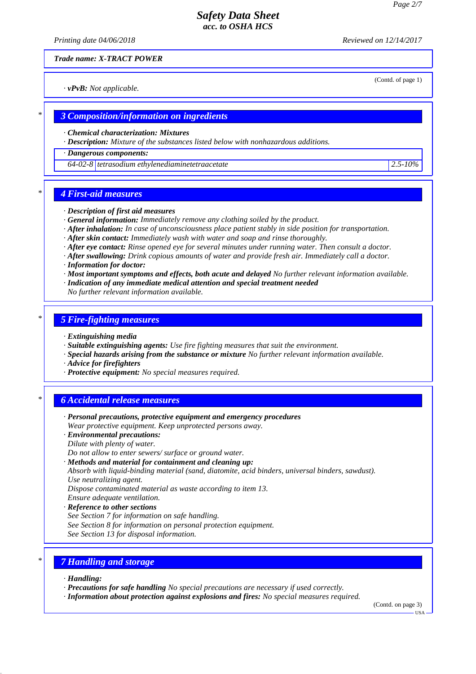*Printing date 04/06/2018 Reviewed on 12/14/2017*

(Contd. of page 1)

*Trade name: X-TRACT POWER*

*· vPvB: Not applicable.*

# *\* 3 Composition/information on ingredients*

*· Chemical characterization: Mixtures*

*· Description: Mixture of the substances listed below with nonhazardous additions.*

*· Dangerous components:*

*64-02-8 tetrasodium ethylenediaminetetraacetate 2.5-10%*

# *\* 4 First-aid measures*

- *· Description of first aid measures*
- *· General information: Immediately remove any clothing soiled by the product.*
- *· After inhalation: In case of unconsciousness place patient stably in side position for transportation.*
- *· After skin contact: Immediately wash with water and soap and rinse thoroughly.*
- *· After eye contact: Rinse opened eye for several minutes under running water. Then consult a doctor.*
- *· After swallowing: Drink copious amounts of water and provide fresh air. Immediately call a doctor.*
- *· Information for doctor:*
- *· Most important symptoms and effects, both acute and delayed No further relevant information available.*
- *· Indication of any immediate medical attention and special treatment needed*

*No further relevant information available.*

## *\* 5 Fire-fighting measures*

- *· Extinguishing media*
- *· Suitable extinguishing agents: Use fire fighting measures that suit the environment.*
- *· Special hazards arising from the substance or mixture No further relevant information available.*
- *· Advice for firefighters*
- *· Protective equipment: No special measures required.*

# *\* 6 Accidental release measures*

*· Personal precautions, protective equipment and emergency procedures Wear protective equipment. Keep unprotected persons away. · Environmental precautions: Dilute with plenty of water. Do not allow to enter sewers/ surface or ground water. · Methods and material for containment and cleaning up: Absorb with liquid-binding material (sand, diatomite, acid binders, universal binders, sawdust). Use neutralizing agent. Dispose contaminated material as waste according to item 13. Ensure adequate ventilation. · Reference to other sections*

*See Section 7 for information on safe handling. See Section 8 for information on personal protection equipment. See Section 13 for disposal information.*

# *\* 7 Handling and storage*

- *· Handling:*
- *· Precautions for safe handling No special precautions are necessary if used correctly.*
- *· Information about protection against explosions and fires: No special measures required.*

(Contd. on page 3)

USA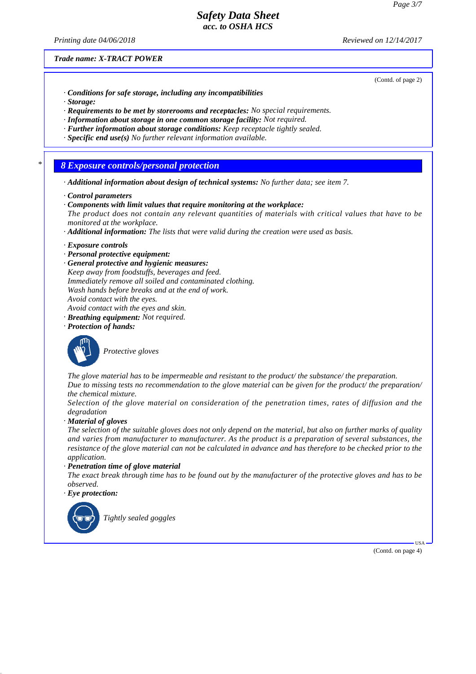*Printing date 04/06/2018 Reviewed on 12/14/2017*

#### *Trade name: X-TRACT POWER*

- *· Conditions for safe storage, including any incompatibilities*
- *· Storage:*
- *· Requirements to be met by storerooms and receptacles: No special requirements.*
- *· Information about storage in one common storage facility: Not required.*
- *· Further information about storage conditions: Keep receptacle tightly sealed.*
- *· Specific end use(s) No further relevant information available.*

### *\* 8 Exposure controls/personal protection*

- *· Additional information about design of technical systems: No further data; see item 7.*
- *· Control parameters*
- *· Components with limit values that require monitoring at the workplace:*
- *The product does not contain any relevant quantities of materials with critical values that have to be monitored at the workplace.*
- *· Additional information: The lists that were valid during the creation were used as basis.*
- *· Exposure controls*
- *· Personal protective equipment:*
- *· General protective and hygienic measures:*
- *Keep away from foodstuffs, beverages and feed. Immediately remove all soiled and contaminated clothing. Wash hands before breaks and at the end of work. Avoid contact with the eyes.*
- *Avoid contact with the eyes and skin.*
- *· Breathing equipment: Not required.*
- *· Protection of hands:*



*Protective gloves*

*The glove material has to be impermeable and resistant to the product/ the substance/ the preparation. Due to missing tests no recommendation to the glove material can be given for the product/ the preparation/*

*the chemical mixture. Selection of the glove material on consideration of the penetration times, rates of diffusion and the degradation*

*· Material of gloves*

*The selection of the suitable gloves does not only depend on the material, but also on further marks of quality and varies from manufacturer to manufacturer. As the product is a preparation of several substances, the resistance of the glove material can not be calculated in advance and has therefore to be checked prior to the application.*

*· Penetration time of glove material*

*The exact break through time has to be found out by the manufacturer of the protective gloves and has to be observed.*

*· Eye protection:*



*Tightly sealed goggles*

(Contd. on page 4)

USA

(Contd. of page 2)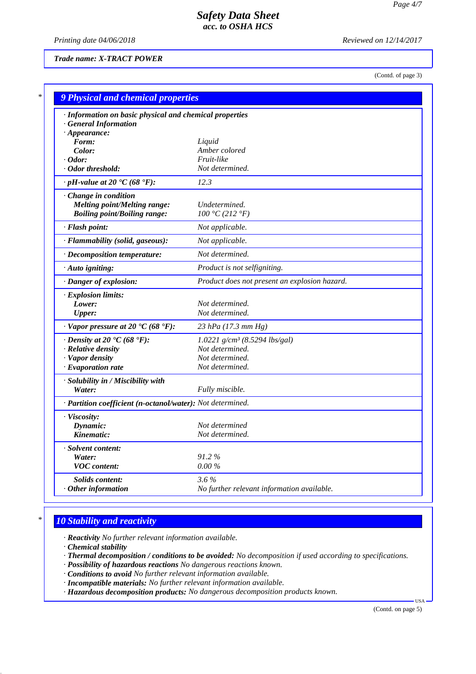*Printing date 04/06/2018 Reviewed on 12/14/2017*

*Trade name: X-TRACT POWER*

(Contd. of page 3)

| · Information on basic physical and chemical properties            |                                               |
|--------------------------------------------------------------------|-----------------------------------------------|
| <b>General Information</b>                                         |                                               |
| $\cdot$ Appearance:                                                |                                               |
| Form:                                                              | Liquid                                        |
| Color:                                                             | Amber colored<br>Fruit-like                   |
| $\cdot$ Odor:<br>· Odor threshold:                                 | Not determined.                               |
| $\cdot$ pH-value at 20 °C (68 °F):                                 | 12.3                                          |
|                                                                    |                                               |
| $\cdot$ Change in condition<br><b>Melting point/Melting range:</b> | Undetermined.                                 |
| <b>Boiling point/Boiling range:</b>                                | 100 °C (212 °F)                               |
|                                                                    |                                               |
| · Flash point:                                                     | Not applicable.                               |
| · Flammability (solid, gaseous):                                   | Not applicable.                               |
| · Decomposition temperature:                                       | Not determined.                               |
| · Auto igniting:                                                   | Product is not selfigniting.                  |
| · Danger of explosion:                                             | Product does not present an explosion hazard. |
| · Explosion limits:                                                |                                               |
| Lower:                                                             | Not determined.                               |
| <b>Upper:</b>                                                      | Not determined.                               |
| $\cdot$ Vapor pressure at 20 °C (68 °F):                           | 23 hPa (17.3 mm Hg)                           |
| $\cdot$ Density at 20 $\cdot$ C (68 $\cdot$ F):                    | $1.0221$ g/cm <sup>3</sup> (8.5294 lbs/gal)   |
| · Relative density                                                 | Not determined.                               |
| · Vapor density                                                    | Not determined.                               |
| $\cdot$ Evaporation rate                                           | Not determined.                               |
| · Solubility in / Miscibility with                                 |                                               |
| Water:                                                             | Fully miscible.                               |
| · Partition coefficient (n-octanol/water): Not determined.         |                                               |
| · Viscosity:                                                       |                                               |
| Dynamic:                                                           | Not determined                                |
| Kinematic:                                                         | Not determined.                               |
| · Solvent content:                                                 |                                               |
| Water:                                                             | 91.2%                                         |
| <b>VOC</b> content:                                                | $0.00\%$                                      |
| Solids content:                                                    | 3.6%                                          |
| $\cdot$ Other information                                          | No further relevant information available.    |

# *\* 10 Stability and reactivity*

*· Reactivity No further relevant information available.*

*· Chemical stability*

- *· Thermal decomposition / conditions to be avoided: No decomposition if used according to specifications.*
- *· Possibility of hazardous reactions No dangerous reactions known.*
- *· Conditions to avoid No further relevant information available.*
- *· Incompatible materials: No further relevant information available.*
- *· Hazardous decomposition products: No dangerous decomposition products known.*

(Contd. on page 5)

USA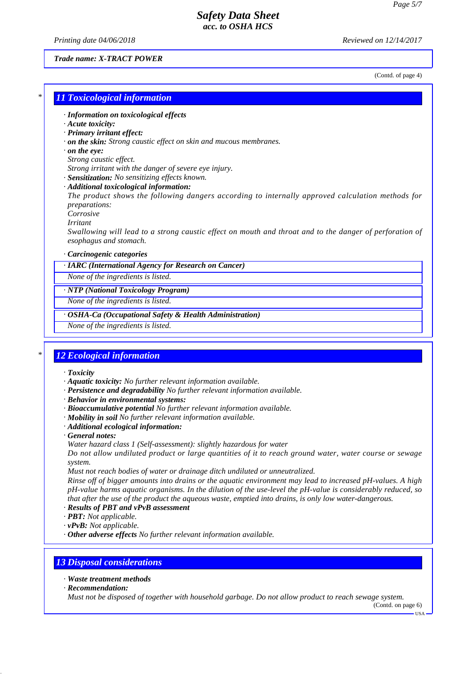*Printing date 04/06/2018 Reviewed on 12/14/2017*

*Trade name: X-TRACT POWER*

(Contd. of page 4)

### *\* 11 Toxicological information · Information on toxicological effects · Acute toxicity: · Primary irritant effect: · on the skin: Strong caustic effect on skin and mucous membranes. · on the eye: Strong caustic effect. Strong irritant with the danger of severe eye injury. · Sensitization: No sensitizing effects known. · Additional toxicological information: The product shows the following dangers according to internally approved calculation methods for preparations:*

*Corrosive*

*Irritant*

*Swallowing will lead to a strong caustic effect on mouth and throat and to the danger of perforation of esophagus and stomach.*

*· Carcinogenic categories*

*· IARC (International Agency for Research on Cancer)*

*None of the ingredients is listed.*

*· NTP (National Toxicology Program)*

*None of the ingredients is listed.*

#### *· OSHA-Ca (Occupational Safety & Health Administration)*

*None of the ingredients is listed.*

## *\* 12 Ecological information*

- *· Toxicity*
- *· Aquatic toxicity: No further relevant information available.*
- *· Persistence and degradability No further relevant information available.*
- *· Behavior in environmental systems:*
- *· Bioaccumulative potential No further relevant information available.*
- *· Mobility in soil No further relevant information available.*
- *· Additional ecological information:*
- *· General notes:*
- *Water hazard class 1 (Self-assessment): slightly hazardous for water*

*Do not allow undiluted product or large quantities of it to reach ground water, water course or sewage system.*

*Must not reach bodies of water or drainage ditch undiluted or unneutralized.*

*Rinse off of bigger amounts into drains or the aquatic environment may lead to increased pH-values. A high pH-value harms aquatic organisms. In the dilution of the use-level the pH-value is considerably reduced, so that after the use of the product the aqueous waste, emptied into drains, is only low water-dangerous.*

- *· Results of PBT and vPvB assessment*
- *· PBT: Not applicable.*
- *· vPvB: Not applicable.*
- *· Other adverse effects No further relevant information available.*

## *13 Disposal considerations*

- *· Waste treatment methods*
- *· Recommendation:*

*Must not be disposed of together with household garbage. Do not allow product to reach sewage system.*

(Contd. on page 6) USA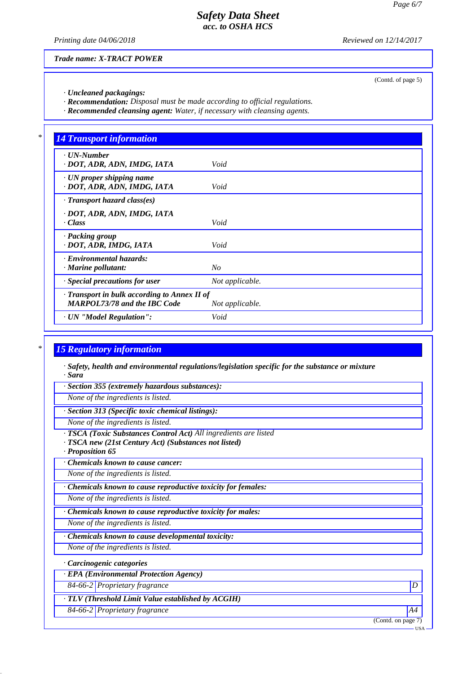*Printing date 04/06/2018 Reviewed on 12/14/2017*

(Contd. of page 5)

*Trade name: X-TRACT POWER*

*· Uncleaned packagings:*

*· Recommendation: Disposal must be made according to official regulations.*

*· Recommended cleansing agent: Water, if necessary with cleansing agents.*

| $\cdot$ UN-Number<br>· DOT, ADR, ADN, IMDG, IATA                                    | Void            |
|-------------------------------------------------------------------------------------|-----------------|
| $\cdot$ UN proper shipping name<br>· DOT, ADR, ADN, IMDG, IATA                      | Void            |
| $\cdot$ Transport hazard class(es)                                                  |                 |
| · DOT, ADR, ADN, IMDG, IATA<br>· Class                                              | Void            |
| · Packing group<br>· DOT, ADR, IMDG, IATA                                           | Void            |
| · Environmental hazards:<br>$\cdot$ Marine pollutant:                               | No              |
| · Special precautions for user                                                      | Not applicable. |
| · Transport in bulk according to Annex II of<br><b>MARPOL73/78 and the IBC Code</b> | Not applicable. |
| · UN "Model Regulation":                                                            | Void            |

# *\* 15 Regulatory information*

*· Safety, health and environmental regulations/legislation specific for the substance or mixture · Sara*

*· Section 355 (extremely hazardous substances):*

*None of the ingredients is listed.*

*· Section 313 (Specific toxic chemical listings):*

*None of the ingredients is listed.*

*· TSCA (Toxic Substances Control Act) All ingredients are listed*

*· TSCA new (21st Century Act) (Substances not listed)*

*· Proposition 65*

*· Chemicals known to cause cancer:*

*None of the ingredients is listed.*

*· Chemicals known to cause reproductive toxicity for females:*

*None of the ingredients is listed.*

*· Chemicals known to cause reproductive toxicity for males:*

*None of the ingredients is listed.*

*· Chemicals known to cause developmental toxicity:*

*None of the ingredients is listed.*

*· Carcinogenic categories*

*· EPA (Environmental Protection Agency)*

*84-66-2 Proprietary fragrance D* 

*· TLV (Threshold Limit Value established by ACGIH)*

*84-66-2 Proprietary fragrance A4*

(Contd. on page 7)

USA